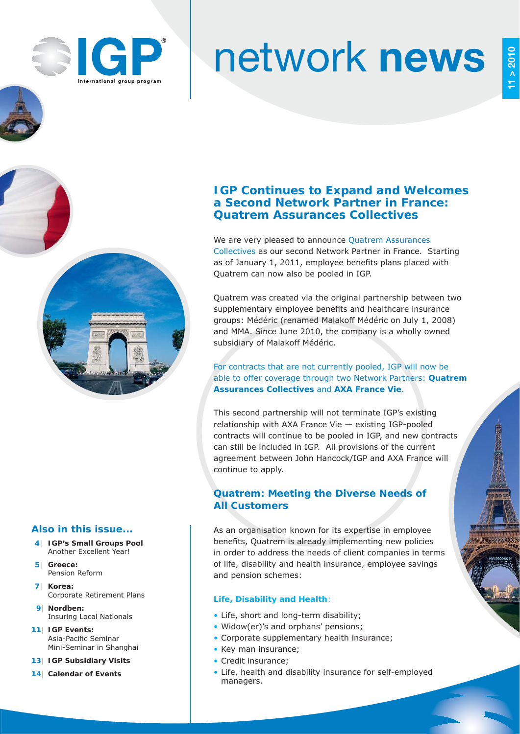

# network **news**

## **IGP Continues to Expand and Welcomes a Second Network Partner in France: Quatrem Assurances Collectives**

We are very pleased to announce Quatrem Assurances Collectives as our second Network Partner in France. Starting as of January 1, 2011, employee benefits plans placed with Quatrem can now also be pooled in IGP.

Quatrem was created via the original partnership between two supplementary employee benefits and healthcare insurance groups: Médéric (renamed Malakoff Médéric on July 1, 2008) and MMA. Since June 2010, the company is a wholly owned subsidiary of Malakoff Médéric.

#### For contracts that are not currently pooled, IGP will now be able to offer coverage through two Network Partners: **Quatrem Assurances Collectives** and **AXA France Vie**.

This second partnership will not terminate IGP's existing relationship with AXA France Vie — existing IGP-pooled contracts will continue to be pooled in IGP, and new contracts can still be included in IGP. All provisions of the current agreement between John Hancock/IGP and AXA France will continue to apply.

## **Quatrem: Meeting the Diverse Needs of All Customers**

As an organisation known for its expertise in employee benefits, Quatrem is already implementing new policies in order to address the needs of client companies in terms of life, disability and health insurance, employee savings and pension schemes:

#### **Life, Disability and Health**:

- Life, short and long-term disability;
- Widow(er)'s and orphans' pensions;
- Corporate supplementary health insurance;
- Key man insurance;
- Credit insurance:
- Life, health and disability insurance for self-employed managers.

#### **Also in this issue...**

- **4| IGP's Small Groups Pool** Another Excellent Year!
- **5| Greece:** Pension Reform
- **7| Korea:** Corporate Retirement Plans
- **9| Nordben:** Insuring Local Nationals
- **11| IGP Events: Asia-Pacific Seminar** Mini-Seminar in Shanghai
- **13| IGP Subsidiary Visits**
- **14| Calendar of Events**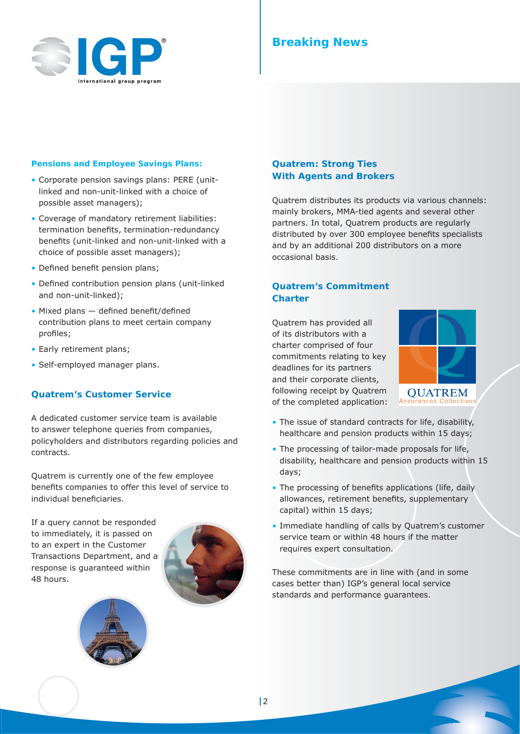

## **Breaking News**

#### **Pensions and Employee Savings Plans:**

- Corporate pension savings plans: PERE (unitlinked and non-unit-linked with a choice of possible asset managers);
- Coverage of mandatory retirement liabilities: termination benefits, termination-redundancy benefits (unit-linked and non-unit-linked with a choice of possible asset managers);
- Defined benefit pension plans;
- Defined contribution pension plans (unit-linked and non-unit-linked);
- $\bullet$  Mixed plans  $-$  defined benefit/defined contribution plans to meet certain company profiles;
- Early retirement plans;
- Self-employed manager plans.

#### **Quatrem's Customer Service**

A dedicated customer service team is available to answer telephone queries from companies, policyholders and distributors regarding policies and contracts.

Quatrem is currently one of the few employee benefits companies to offer this level of service to individual beneficiaries.

If a query cannot be responded to immediately, it is passed on to an expert in the Customer Transactions Department, and a response is guaranteed within 48 hours.





#### **Quatrem: Strong Ties With Agents and Brokers**

Quatrem distributes its products via various channels: mainly brokers, MMA-tied agents and several other partners. In total, Quatrem products are regularly distributed by over 300 employee benefits specialists and by an additional 200 distributors on a more occasional basis.

#### **Quatrem's Commitment Charter**

Quatrem has provided all of its distributors with a charter comprised of four commitments relating to key deadlines for its partners and their corporate clients, following receipt by Quatrem of the completed application:



- The issue of standard contracts for life, disability, healthcare and pension products within 15 days;
- The processing of tailor-made proposals for life, disability, healthcare and pension products within 15 days;
- The processing of benefits applications (life, daily allowances, retirement benefits, supplementary capital) within 15 days;
- Immediate handling of calls by Quatrem's customer service team or within 48 hours if the matter requires expert consultation.

These commitments are in line with (and in some cases better than) IGP's general local service standards and performance guarantees.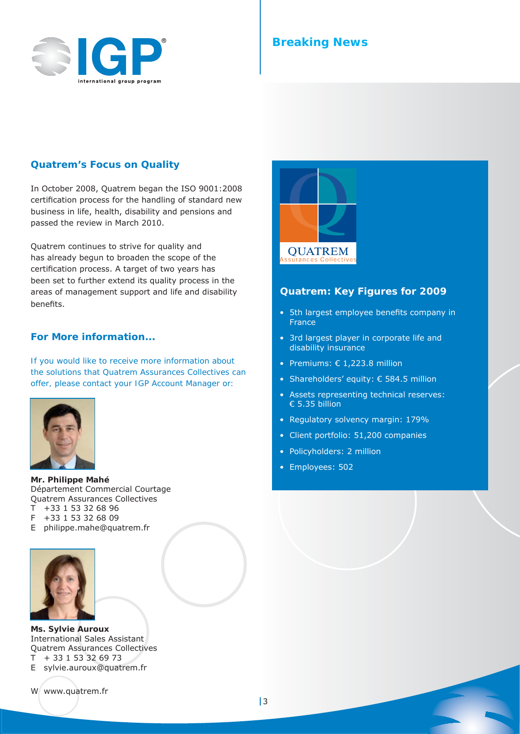

## **Breaking News**

#### **Quatrem's Focus on Quality**

In October 2008, Quatrem began the ISO 9001:2008 certification process for the handling of standard new business in life, health, disability and pensions and passed the review in March 2010.

Quatrem continues to strive for quality and has already begun to broaden the scope of the certification process. A target of two years has been set to further extend its quality process in the areas of management support and life and disability benefits.

#### **For More information...**

*If you would like to receive more information about the solutions that Quatrem Assurances Collectives can offer, please contact your IGP Account Manager or:*



**Mr. Philippe Mahé** Département Commercial Courtage Quatrem Assurances Collectives T +33 1 53 32 68 96 F +33 1 53 32 68 09

E philippe.mahe@quatrem.fr



**Ms. Sylvie Auroux** International Sales Assistant Quatrem Assurances Collectives

 $T$  + 33 1 53 32 69 73

E sylvie.auroux@quatrem.fr

W www.quatrem.fr



#### **Quatrem: Key Figures for 2009**

- 5th largest employee benefits company in France
- 3rd largest player in corporate life and disability insurance
- Premiums: € 1,223.8 million
- Shareholders' equity: € 584.5 million
- Assets representing technical reserves: € 5.35 billion
- Regulatory solvency margin: 179%
- Client portfolio: 51,200 companies
- Policyholders: 2 million
- Employees: 502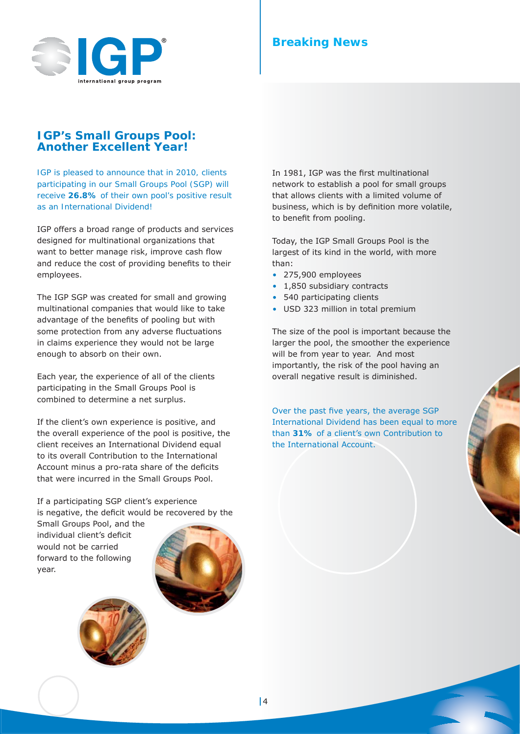

## **Breaking News**

#### **IGP's Small Groups Pool: Another Excellent Year!**

*IGP is pleased to announce that in 2010, clients participating in our Small Groups Pool (SGP) will receive* **26.8%** *of their own pool's positive result as an International Dividend!*

IGP offers a broad range of products and services designed for multinational organizations that want to better manage risk, improve cash flow and reduce the cost of providing benefits to their employees.

The IGP SGP was created for small and growing multinational companies that would like to take advantage of the benefits of pooling but with some protection from any adverse fluctuations in claims experience they would not be large enough to absorb on their own.

Each year, the experience of all of the clients participating in the Small Groups Pool is combined to determine a net surplus.

If the client's own experience is positive, and the overall experience of the pool is positive, the client receives an International Dividend equal to its overall Contribution to the International Account minus a pro-rata share of the deficits that were incurred in the Small Groups Pool.

If a participating SGP client's experience is negative, the deficit would be recovered by the

Small Groups Pool, and the individual client's deficit would not be carried forward to the following year.



In 1981, IGP was the first multinational network to establish a pool for small groups that allows clients with a limited volume of business, which is by definition more volatile, to benefit from pooling.

Today, the IGP Small Groups Pool is the largest of its kind in the world, with more than:

- 275,900 employees
- 1,850 subsidiary contracts
- 540 participating clients
- USD 323 million in total premium

The size of the pool is important because the larger the pool, the smoother the experience will be from year to year. And most importantly, the risk of the pool having an overall negative result is diminished.

Over the past five years, the average SGP International Dividend has been equal to more than **31%** of a client's own Contribution to the International Account.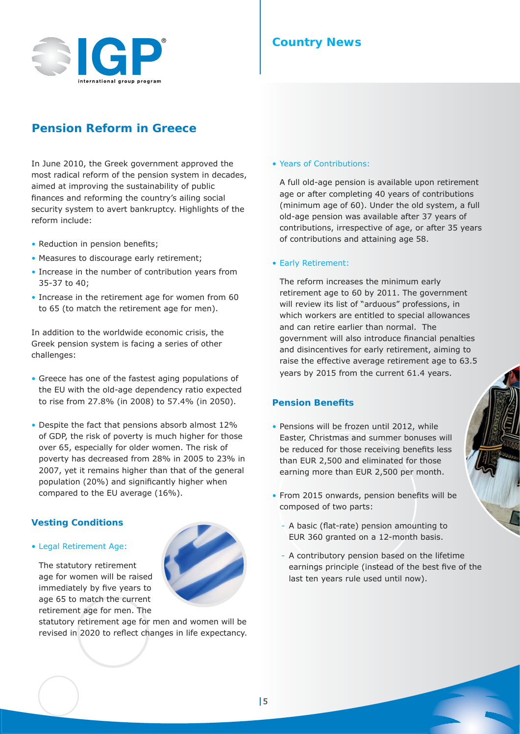

## **Country News**

• Years of Contributions:

## **Pension Reform in Greece**

In June 2010, the Greek government approved the most radical reform of the pension system in decades, aimed at improving the sustainability of public finances and reforming the country's ailing social security system to avert bankruptcy. Highlights of the reform include:

- Reduction in pension benefits;
- Measures to discourage early retirement;
- Increase in the number of contribution years from 35-37 to 40;
- Increase in the retirement age for women from 60 to 65 (to match the retirement age for men).

In addition to the worldwide economic crisis, the Greek pension system is facing a series of other challenges:

- Greece has one of the fastest aging populations of the EU with the old-age dependency ratio expected to rise from 27.8% (in 2008) to 57.4% (in 2050).
- Despite the fact that pensions absorb almost 12% of GDP, the risk of poverty is much higher for those over 65, especially for older women. The risk of poverty has decreased from 28% in 2005 to 23% in 2007, yet it remains higher than that of the general population (20%) and significantly higher when compared to the EU average (16%).

#### **Vesting Conditions**

• Legal Retirement Age:

The statutory retirement age for women will be raised immediately by five years to age 65 to match the current retirement age for men. The



old-age pension was available after 37 years of contributions, irrespective of age, or after 35 years

#### • Early Retirement:

The reform increases the minimum early retirement age to 60 by 2011. The government will review its list of "arduous" professions, in which workers are entitled to special allowances and can retire earlier than normal. The government will also introduce financial penalties and disincentives for early retirement, aiming to raise the effective average retirement age to 63.5 years by 2015 from the current 61.4 years.

A full old-age pension is available upon retirement age or after completing 40 years of contributions (minimum age of 60). Under the old system, a full

of contributions and attaining age 58.

#### **Pension Benefi ts**

- Pensions will be frozen until 2012, while Easter, Christmas and summer bonuses will be reduced for those receiving benefits less than EUR 2,500 and eliminated for those earning more than EUR 2,500 per month.
- From 2015 onwards, pension benefits will be composed of two parts:
	- A basic (flat-rate) pension amounting to EUR 360 granted on a 12-month basis.
	- A contributory pension based on the lifetime earnings principle (instead of the best five of the last ten years rule used until now).

5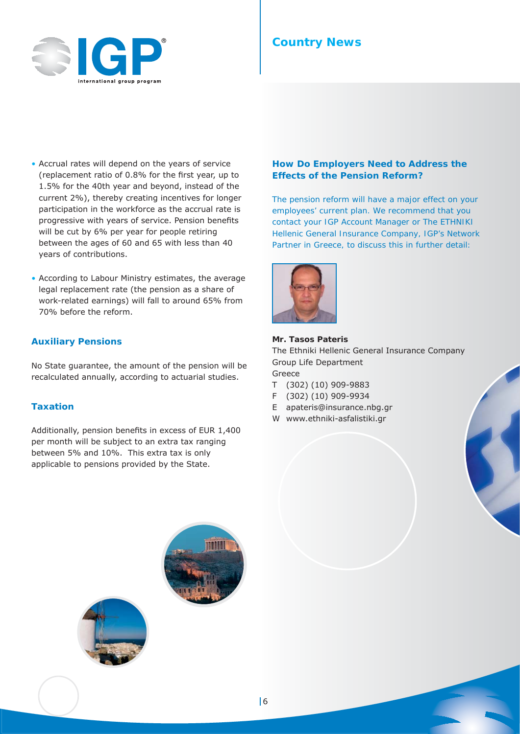

## **Country News**

- Accrual rates will depend on the years of service (replacement ratio of  $0.8\%$  for the first year, up to 1.5% for the 40th year and beyond, instead of the current 2%), thereby creating incentives for longer participation in the workforce as the accrual rate is progressive with years of service. Pension benefits will be cut by 6% per year for people retiring between the ages of 60 and 65 with less than 40 years of contributions.
- According to Labour Ministry estimates, the average legal replacement rate (the pension as a share of work-related earnings) will fall to around 65% from 70% before the reform.

#### **Auxiliary Pensions**

No State guarantee, the amount of the pension will be recalculated annually, according to actuarial studies.

#### **Taxation**

Additionally, pension benefits in excess of EUR 1,400 per month will be subject to an extra tax ranging between 5% and 10%. This extra tax is only applicable to pensions provided by the State.

#### **How Do Employers Need to Address the Effects of the Pension Reform?**

*The pension reform will have a major effect on your employees' current plan. We recommend that you contact your IGP Account Manager or The ETHNIKI Hellenic General Insurance Company, IGP's Network Partner in Greece, to discuss this in further detail:*



#### **Mr. Tasos Pateris**

The Ethniki Hellenic General Insurance Company Group Life Department Greece

- T (302) (10) 909-9883
- F (302) (10) 909-9934
- E apateris@insurance.nbg.gr
- W www.ethniki-asfalistiki.gr



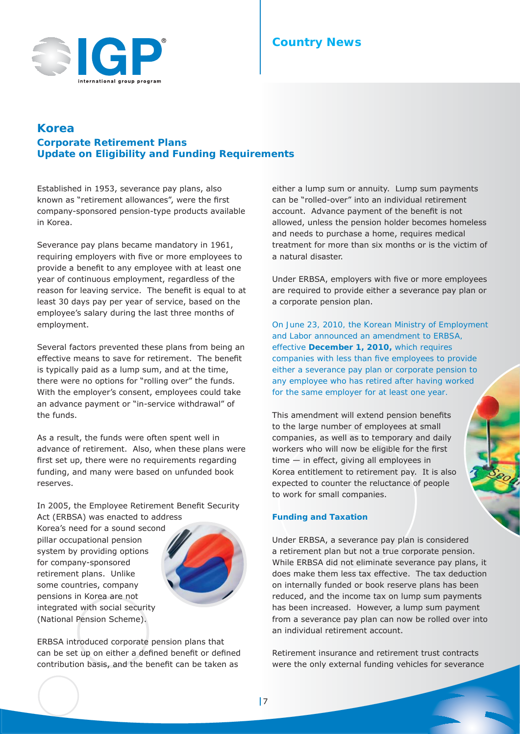

## **Country News**

## **Korea Corporate Retirement Plans**

**Update on Eligibility and Funding Requirements**

Established in 1953, severance pay plans, also known as "retirement allowances", were the first company-sponsored pension-type products available in Korea.

Severance pay plans became mandatory in 1961, requiring employers with five or more employees to provide a benefit to any employee with at least one year of continuous employment, regardless of the reason for leaving service. The benefit is equal to at least 30 days pay per year of service, based on the employee's salary during the last three months of employment.

Several factors prevented these plans from being an effective means to save for retirement. The benefit is typically paid as a lump sum, and at the time, there were no options for "rolling over" the funds. With the employer's consent, employees could take an advance payment or "in-service withdrawal" of the funds.

As a result, the funds were often spent well in advance of retirement. Also, when these plans were first set up, there were no requirements regarding funding, and many were based on unfunded book reserves.

In 2005, the Employee Retirement Benefit Security Act (ERBSA) was enacted to address

Korea's need for a sound second pillar occupational pension system by providing options for company-sponsored retirement plans. Unlike some countries, company pensions in Korea are not integrated with social security (National Pension Scheme).



ERBSA introduced corporate pension plans that can be set up on either a defined benefit or defined contribution basis, and the benefit can be taken as

either a lump sum or annuity. Lump sum payments can be "rolled-over" into an individual retirement account. Advance payment of the benefit is not allowed, unless the pension holder becomes homeless and needs to purchase a home, requires medical treatment for more than six months or is the victim of a natural disaster.

Under ERBSA, employers *with five or more employees* are required to provide either a severance pay plan or a corporate pension plan.

*On June 23, 2010, the Korean Ministry of Employment and Labor announced an amendment to ERBSA, effective December 1, 2010, which requires companies with less than five employees to provide either a severance pay plan or corporate pension to any employee who has retired after having worked for the same employer for at least one year.*

This amendment will extend pension benefits to the large number of employees at small companies, as well as to temporary and daily workers who will now be eligible for the first time — in effect, giving all employees in Korea entitlement to retirement pay. It is also expected to counter the reluctance of people to work for small companies.

#### **Funding and Taxation**

Under ERBSA, a severance pay plan is considered a retirement plan but not a true corporate pension. While ERBSA did not eliminate severance pay plans, it does make them less tax effective. The tax deduction on internally funded or book reserve plans has been reduced, and the income tax on lump sum payments has been increased. However, a lump sum payment from a severance pay plan can now be rolled over into an individual retirement account.

Retirement insurance and retirement trust contracts were the only external funding vehicles for severance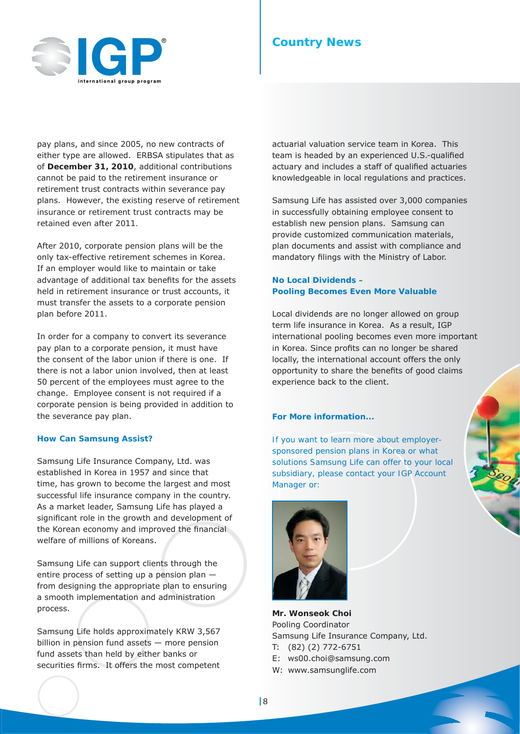

pay plans, and since 2005, no new contracts of either type are allowed. ERBSA stipulates that as of **December 31, 2010**, additional contributions cannot be paid to the retirement insurance or retirement trust contracts within severance pay plans. *However, the existing reserve of retirement insurance or retirement trust contracts may be retained even after 2011.*

After 2010, corporate pension plans will be the only tax-effective retirement schemes in Korea. If an employer would like to maintain or take advantage of additional tax benefits for the assets held in retirement insurance or trust accounts, it must transfer the assets to a corporate pension plan before 2011.

In order for a company to convert its severance pay plan to a corporate pension, it must have the consent of the labor union if there is one. If there is not a labor union involved, then at least 50 percent of the employees must agree to the change. Employee consent is not required if a corporate pension is being provided *in addition* to the severance pay plan.

#### **How Can Samsung Assist?**

Samsung Life Insurance Company, Ltd. was established in Korea in 1957 and since that time, has grown to become the largest and most successful life insurance company in the country. As a market leader, Samsung Life has played a significant role in the growth and development of the Korean economy and improved the financial welfare of millions of Koreans.

Samsung Life can support clients through the entire process of setting up a pension plan from designing the appropriate plan to ensuring a smooth implementation and administration process.

Samsung Life holds approximately KRW 3,567 billion in pension fund assets — more pension fund assets than held by either banks or securities firms. It offers the most competent

## **Country News**

actuarial valuation service team in Korea. This team is headed by an experienced U.S.-qualified actuary and includes a staff of qualified actuaries knowledgeable in local regulations and practices.

Samsung Life has assisted over 3,000 companies in successfully obtaining employee consent to establish new pension plans. Samsung can provide customized communication materials, plan documents and assist with compliance and mandatory filings with the Ministry of Labor.

#### **No Local Dividends – Pooling Becomes Even More Valuable**

Local dividends are no longer allowed on group term life insurance in Korea. As a result, IGP international pooling becomes even more important in Korea. Since profits can no longer be shared locally, the international account offers the only opportunity to share the benefits of good claims experience back to the client.

#### **For More information...**

*If you want to learn more about employersponsored pension plans in Korea or what solutions Samsung Life can offer to your local subsidiary, please contact your IGP Account Manager or:*



**Mr. Wonseok Choi** Pooling Coordinator Samsung Life Insurance Company, Ltd.

- T: (82) (2) 772-6751
- E: ws00.choi@samsung.com
- W: www.samsunglife.com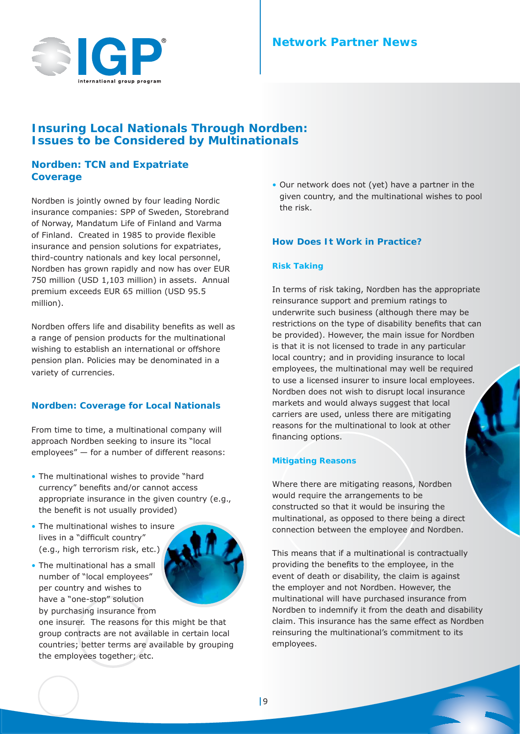

## **Network Partner News**

## **Insuring Local Nationals Through Nordben: Issues to be Considered by Multinationals**

#### **Nordben: TCN and Expatriate Coverage**

Nordben is jointly owned by four leading Nordic insurance companies: SPP of Sweden, Storebrand of Norway, Mandatum Life of Finland and Varma of Finland. Created in 1985 to provide flexible insurance and pension solutions for expatriates, third-country nationals and key local personnel, Nordben has grown rapidly and now has over EUR 750 million (USD 1,103 million) in assets. Annual premium exceeds EUR 65 million (USD 95.5 million).

Nordben offers life and disability benefits as well as a range of pension products for the multinational wishing to establish an international or offshore pension plan. Policies may be denominated in a variety of currencies.

#### **Nordben: Coverage for Local Nationals**

From time to time, a multinational company will approach Nordben seeking to insure its "local employees" — for a number of different reasons:

- The multinational wishes to provide "hard currency" benefits and/or cannot access appropriate insurance in the given country (e.g., the benefit is not usually provided)
- The multinational wishes to insure lives in a "difficult country" (e.g., high terrorism risk, etc.)

per country and wishes to have a "one-stop" solution



by purchasing insurance from one insurer. The reasons for this might be that group contracts are not available in certain local countries; better terms are available by grouping the employees together; etc.

• Our network does not (yet) have a partner in the given country, and the multinational wishes to pool the risk.

#### **How Does It Work in Practice?**

#### **Risk Taking**

In terms of risk taking, Nordben has the appropriate reinsurance support and premium ratings to underwrite such business (although there may be restrictions on the type of disability benefits that can be provided). However, the main issue for Nordben is that it is not licensed to trade in any particular local country; and in providing insurance to local employees, the multinational may well be required to use a licensed insurer to insure local employees. Nordben does not wish to disrupt local insurance markets and would always suggest that local carriers are used, unless there are mitigating reasons for the multinational to look at other financing options.

#### **Mitigating Reasons**

Where there are mitigating reasons, Nordben would require the arrangements to be constructed so that it would be insuring the multinational, as opposed to there being a direct connection between the employee and Nordben.

This means that if a multinational is contractually providing the benefits to the employee, in the event of death or disability, the claim is against the employer and not Nordben. However, the multinational will have purchased insurance from Nordben to indemnify it from the death and disability claim. This insurance has the same effect as Nordben reinsuring the multinational's commitment to its employees.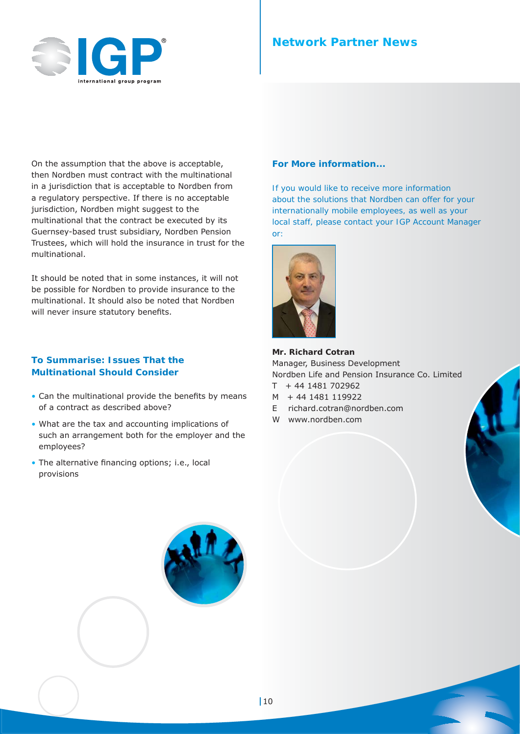

## **Network Partner News**

On the assumption that the above is acceptable, then Nordben must contract with the multinational in a jurisdiction that is acceptable to Nordben from a regulatory perspective. If there is no acceptable jurisdiction, Nordben might suggest to the multinational that the contract be executed by its Guernsey-based trust subsidiary, Nordben Pension Trustees, which will hold the insurance in trust for the multinational.

It should be noted that in some instances, it will not be possible for Nordben to provide insurance to the multinational. It should also be noted that Nordben will never insure statutory benefits.

#### **To Summarise: Issues That the Multinational Should Consider**

- $\bullet$  Can the multinational provide the benefits by means of a contract as described above?
- What are the tax and accounting implications of such an arrangement both for the employer and the employees?
- The alternative financing options; i.e., local provisions

#### **For More information...**

*If you would like to receive more information about the solutions that Nordben can offer for your internationally mobile employees, as well as your local staff, please contact your IGP Account Manager or:*



**Mr. Richard Cotran**  Manager, Business Development Nordben Life and Pension Insurance Co. Limited

- $T + 44 1481 702962$
- M + 44 1481 119922
- E richard.cotran@nordben.com
- W www.nordben.com

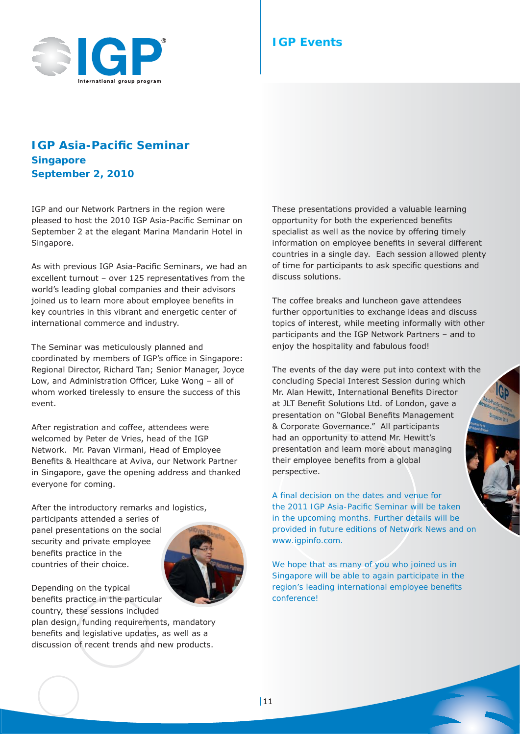

## **IGP Events**

## **IGP Asia-Pacifi c Seminar Singapore September 2, 2010**

IGP and our Network Partners in the region were pleased to host the 2010 IGP Asia-Pacific Seminar on September 2 at the elegant Marina Mandarin Hotel in Singapore.

As with previous IGP Asia-Pacific Seminars, we had an excellent turnout – over 125 representatives from the world's leading global companies and their advisors joined us to learn more about employee benefits in key countries in this vibrant and energetic center of international commerce and industry.

The Seminar was meticulously planned and coordinated by members of IGP's office in Singapore: Regional Director, Richard Tan; Senior Manager, Joyce Low, and Administration Officer, Luke Wong - all of whom worked tirelessly to ensure the success of this event.

After registration and coffee, attendees were welcomed by Peter de Vries, head of the IGP Network. Mr. Pavan Virmani, Head of Employee Benefits & Healthcare at Aviva, our Network Partner in Singapore, gave the opening address and thanked everyone for coming.

After the introductory remarks and logistics,

participants attended a series of panel presentations on the social security and private employee benefits practice in the countries of their choice.



Depending on the typical benefits practice in the particular country, these sessions included

plan design, funding requirements, mandatory benefits and legislative updates, as well as a discussion of recent trends and new products.

These presentations provided a valuable learning opportunity for both the experienced benefits specialist as well as the novice by offering timely information on employee benefits in several different countries in a single day. Each session allowed plenty of time for participants to ask specific questions and discuss solutions.

The coffee breaks and luncheon gave attendees further opportunities to exchange ideas and discuss topics of interest, while meeting informally with other participants and the IGP Network Partners – and to enjoy the hospitality and fabulous food!

The events of the day were put into context with the concluding Special Interest Session during which Mr. Alan Hewitt, International Benefits Director at JLT Benefit Solutions Ltd. of London, gave a presentation on "Global Benefits Management & Corporate Governance." All participants had an opportunity to attend Mr. Hewitt's presentation and learn more about managing their employee benefits from a global perspective.

*A fi nal decision on the dates and venue for the 2011 IGP Asia-Pacifi c Seminar will be taken in the upcoming months. Further details will be provided in future editions of Network News and on www.igpinfo.com.*

*We hope that as many of you who joined us in Singapore will be able to again participate in the region's leading international employee benefits conference!*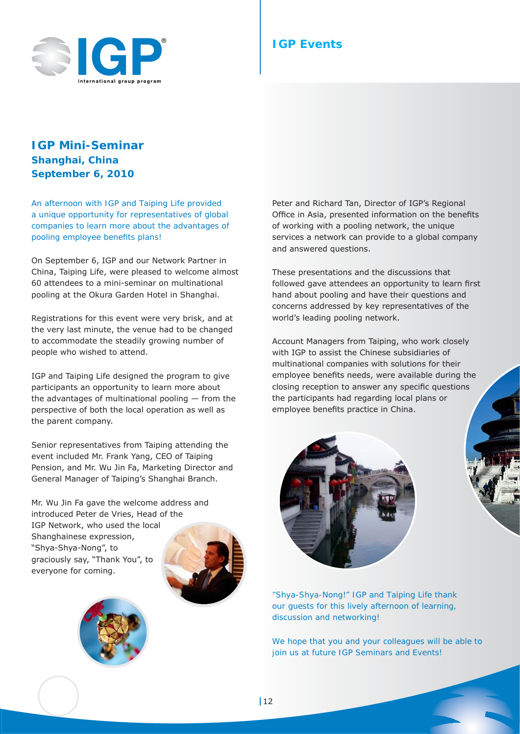

## **IGP Events**

## **IGP Mini-Seminar Shanghai, China September 6, 2010**

*An afternoon with IGP and Taiping Life provided a unique opportunity for representatives of global companies to learn more about the advantages of pooling employee benefits plans!* 

On September 6, IGP and our Network Partner in China, Taiping Life, were pleased to welcome almost 60 attendees to a mini-seminar on multinational pooling at the Okura Garden Hotel in Shanghai.

Registrations for this event were very brisk, and at the very last minute, the venue had to be changed to accommodate the steadily growing number of people who wished to attend.

IGP and Taiping Life designed the program to give participants an opportunity to learn more about the advantages of multinational pooling — from the perspective of both the local operation as well as the parent company.

Senior representatives from Taiping attending the event included Mr. Frank Yang, CEO of Taiping Pension, and Mr. Wu Jin Fa, Marketing Director and General Manager of Taiping's Shanghai Branch.

Mr. Wu Jin Fa gave the welcome address and introduced Peter de Vries, Head of the IGP Network, who used the local Shanghainese expression, "Shya-Shya-Nong", to graciously say, "Thank You", to everyone for coming.





Peter and Richard Tan, Director of IGP's Regional Office in Asia, presented information on the benefits of working with a pooling network, the unique services a network can provide to a global company and answered questions.

These presentations and the discussions that followed gave attendees an opportunity to learn first hand about pooling and have their questions and concerns addressed by key representatives of the world's leading pooling network.

Account Managers from Taiping, who work closely with IGP to assist the Chinese subsidiaries of multinational companies with solutions for their employee benefits needs, were available during the closing reception to answer any specific questions the participants had regarding local plans or employee benefits practice in China.



*"Shya-Shya-Nong!" IGP and Taiping Life thank our guests for this lively afternoon of learning, discussion and networking!*

*We hope that you and your colleagues will be able to join us at future IGP Seminars and Events!*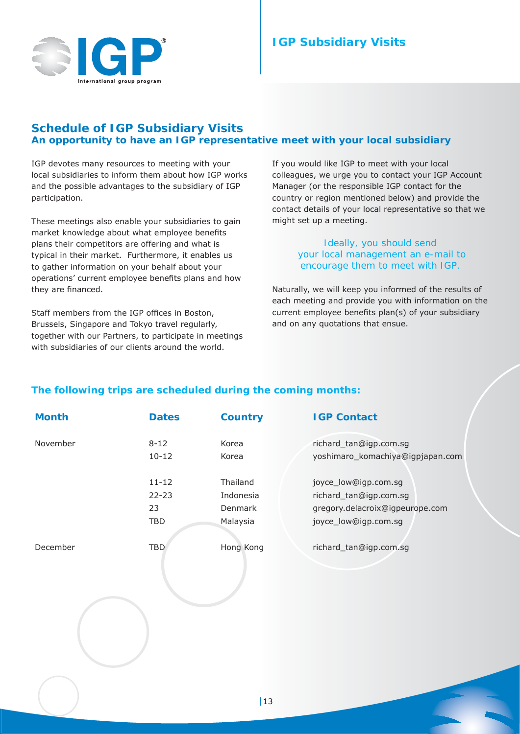

## **Schedule of IGP Subsidiary Visits An opportunity to have an IGP representative meet with your local subsidiary**

IGP devotes many resources to meeting with your local subsidiaries to inform them about how IGP works and the possible advantages to the subsidiary of IGP participation.

These meetings also enable your subsidiaries to gain market knowledge about what employee benefits plans their competitors are offering and what is typical in their market. Furthermore, it enables us to gather information on your behalf about your operations' current employee benefits plans and how they are financed.

Staff members from the IGP offices in Boston, Brussels, Singapore and Tokyo travel regularly, together with our Partners, to participate in meetings with subsidiaries of our clients around the world.

If you would like IGP to meet with your local colleagues, we urge you to contact your IGP Account Manager (or the responsible IGP contact for the country or region mentioned below) and provide the contact details of your local representative so that we might set up a meeting.

#### *Ideally, you should send your local management an e-mail to encourage them to meet with IGP.*

Naturally, we will keep you informed of the results of each meeting and provide you with information on the current employee benefits plan(s) of your subsidiary and on any quotations that ensue.

## **The following trips are scheduled during the coming months:**

| <b>Month</b> | <b>Dates</b> | <b>Country</b> | <b>IGP Contact</b>               |
|--------------|--------------|----------------|----------------------------------|
| November     | $8 - 12$     | Korea          | richard_tan@igp.com.sg           |
|              | $10 - 12$    | Korea          | yoshimaro_komachiya@igpjapan.com |
|              | $11 - 12$    | Thailand       | joyce_low@igp.com.sg             |
|              | $22 - 23$    | Indonesia      | richard_tan@igp.com.sg           |
|              | 23           | Denmark        | gregory.delacroix@igpeurope.com  |
|              | <b>TBD</b>   | Malaysia       | joyce_low@igp.com.sg             |
| December     | <b>TBD</b>   | Hong Kong      | richard_tan@igp.com.sg           |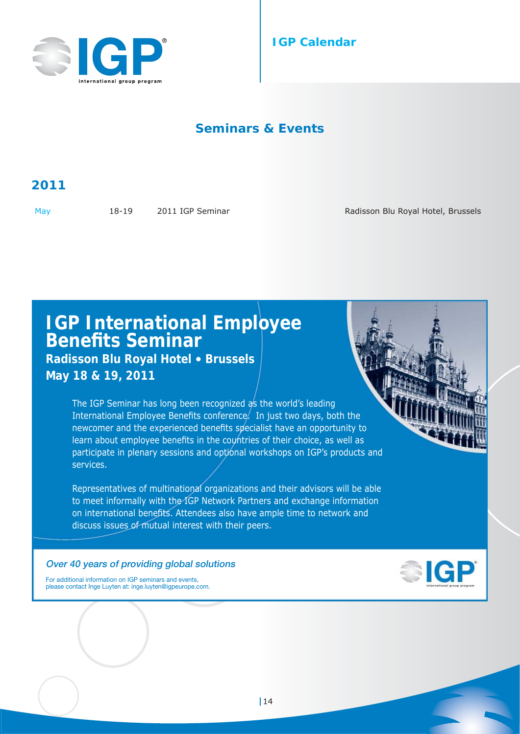

## **IGP Calendar**

## **Seminars & Events**

# **2011**

May 18-19 2011 IGP Seminar Radisson Blu Royal Hotel, Brussels

# **IGP International Employee Benefi ts Seminar**

## **Radisson Blu Royal Hotel** • **Brussels May 18 & 19, 2011**

The IGP Seminar has long been recognized as the world's leading International Employee Benefits conference. In just two days, both the newcomer and the experienced benefits specialist have an opportunity to learn about employee benefits in the countries of their choice, as well as participate in plenary sessions and optional workshops on IGP's products and services.

Representatives of multinational organizations and their advisors will be able to meet informally with the IGP Network Partners and exchange information on international benefits. Attendees also have ample time to network and discuss issues of mutual interest with their peers.

#### **Over 40 years of providing global solutions**



For additional information on IGP seminars and events, please contact Inge Luyten at: inge.luyten@igpeurope.com.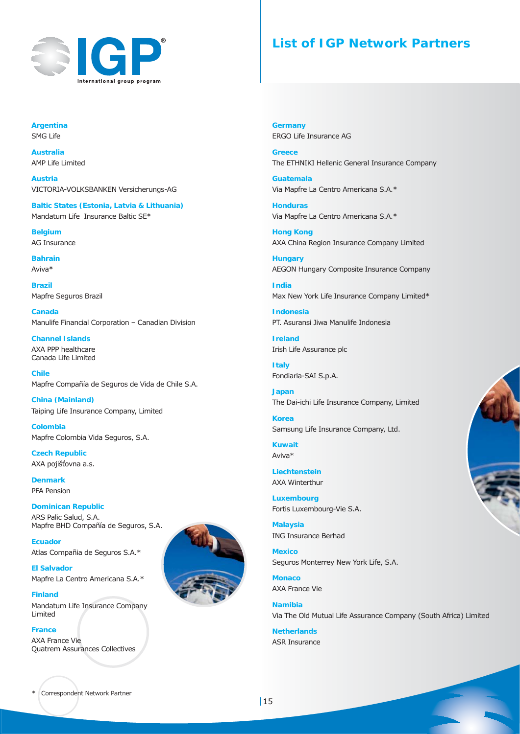

## **List of IGP Network Partners**

**Argentina** SMG Life

**Australia** AMP Life Limited

**Austria** VICTORIA-VOLKSBANKEN Versicherungs-AG

**Baltic States (Estonia, Latvia & Lithuania)** Mandatum Life Insurance Baltic SE\*

**Belgium** AG Insurance

**Bahrain** Aviva\*

**Brazil** Mapfre Seguros Brazil

**Canada** Manulife Financial Corporation – Canadian Division

**Channel Islands** AXA PPP healthcare Canada Life Limited

**Chile** Mapfre Compañía de Seguros de Vida de Chile S.A.

**China (Mainland)** Taiping Life Insurance Company, Limited

**Colombia** Mapfre Colombia Vida Seguros, S.A.

**Czech Republic** AXA pojišťovna a.s.

**Denmark** PFA Pension

**Dominican Republic** ARS Palic Salud, S.A. Mapfre BHD Compañía de Seguros, S.A.

**Ecuador** Atlas Compañia de Seguros S.A.\*

**El Salvador** Mapfre La Centro Americana S.A.\*

**Finland** Mandatum Life Insurance Company Limited

**France**  AXA France Vie Quatrem Assurances Collectives



**Germany** ERGO Life Insurance AG

**Greece** The ETHNIKI Hellenic General Insurance Company

**Guatemala** Via Mapfre La Centro Americana S.A.\*

**Honduras** Via Mapfre La Centro Americana S.A.\*

**Hong Kong** AXA China Region Insurance Company Limited

**Hungary** AEGON Hungary Composite Insurance Company

**India** Max New York Life Insurance Company Limited\*

**Indonesia** PT. Asuransi Jiwa Manulife Indonesia

**Ireland** Irish Life Assurance plc

**Italy** Fondiaria-SAI S.p.A.

**Japan** The Dai-ichi Life Insurance Company, Limited

**Korea** Samsung Life Insurance Company, Ltd.

**Kuwait** Aviva\*

**Liechtenstein** AXA Winterthur

**Luxembourg** Fortis Luxembourg-Vie S.A.

**Malaysia** ING Insurance Berhad

**Mexico** Seguros Monterrey New York Life, S.A.

**Monaco** AXA France Vie

**Namibia** Via The Old Mutual Life Assurance Company (South Africa) Limited

**Netherlands** ASR Insurance



Correspondent Network Partner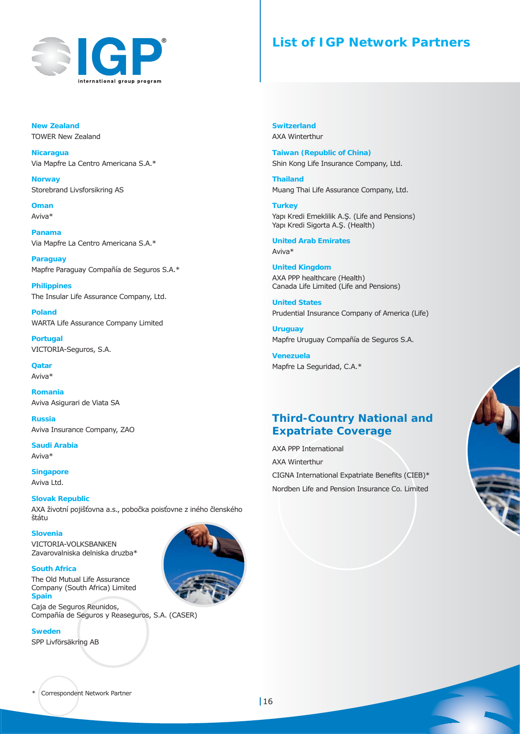

## **List of IGP Network Partners**

**New Zealand** TOWER New Zealand

**Nicaragua**  Via Mapfre La Centro Americana S.A.\*

**Norway** Storebrand Livsforsikring AS

**Oman** Aviva\*

**Panama** Via Mapfre La Centro Americana S.A.\*

**Paraguay** Mapfre Paraguay Compañía de Seguros S.A.\*

**Philippines** The Insular Life Assurance Company, Ltd.

**Poland** WARTA Life Assurance Company Limited

**Portugal** VICTORIA-Seguros, S.A.

**Qatar** Aviva\*

**Romania** Aviva Asigurari de Viata SA

**Russia** Aviva Insurance Company, ZAO

**Saudi Arabia** Aviva\*

**Singapore** Aviva Ltd.

**Slovak Republic** AXA životní pojišťovna a.s., pobočka poisťovne z iného členského štátu

**Slovenia** VICTORIA-VOLKSBANKEN Zavarovalniska delniska druzba\*

**South Africa** The Old Mutual Life Assurance Company (South Africa) Limited **Spain**

Caja de Seguros Reunidos, Compañía de Seguros y Reaseguros, S.A. (CASER)

**Sweden** SPP Livförsäkring AB



**Switzerland** AXA Winterthur

**Taiwan (Republic of China)** Shin Kong Life Insurance Company, Ltd.

**Thailand** Muang Thai Life Assurance Company, Ltd.

**Turkey** Yapı Kredi Emeklilik A.Ş. (Life and Pensions) Yapı Kredi Sigorta A.Ş. (Health)

**United Arab Emirates** Aviva\*

**United Kingdom** AXA PPP healthcare (Health) Canada Life Limited (Life and Pensions)

**United States** Prudential Insurance Company of America (Life)

**Uruguay** Mapfre Uruguay Compañía de Seguros S.A.

**Venezuela** Mapfre La Seguridad, C.A.\*

## **Third-Country National and Expatriate Coverage**

AXA PPP International AXA Winterthur CIGNA International Expatriate Benefits (CIEB) $*$ Nordben Life and Pension Insurance Co. Limited